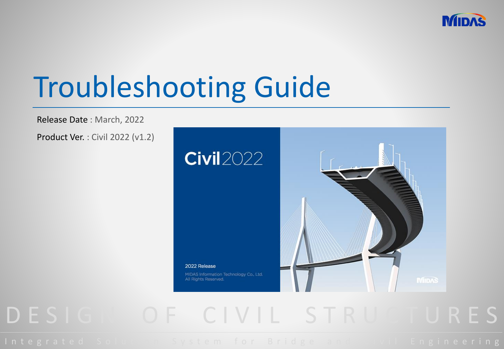

# Troubleshooting Guide

Release Date : March, 2022

Product Ver. : Civil 2022 (v1.2)



## D E S I G I O F C I V I L S T R U C T U R E S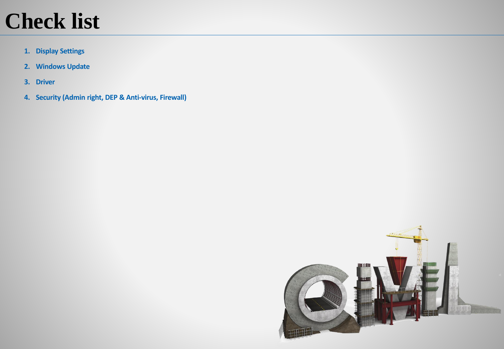## **Check list**

- **1. Display Settings**
- **2. Windows Update**
- **3. Driver**
- **4. Security (Admin right, DEP & Anti-virus, Firewall)**

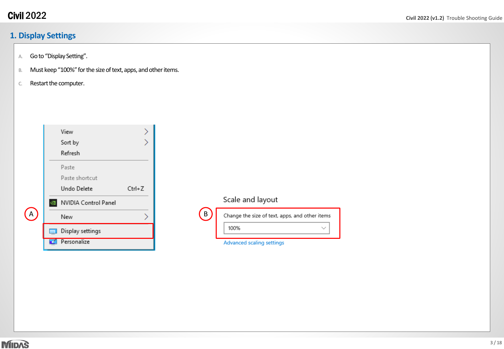## **1. Display Settings**

- A. Goto "Display Setting".
- B. Must keep "100%" for the size of text, apps, and other items.
- c. Restart the computer.

|   |                   | View<br>Sort by<br>Refresh             |        |   |
|---|-------------------|----------------------------------------|--------|---|
|   |                   | Paste<br>Paste shortcut<br>Undo Delete | Ctrl+Z |   |
| A |                   | NVIDIA Control Panel<br>New            |        | B |
|   | <b>STEP</b><br>ď. | Display settings<br>Personalize        |        |   |

| н |  |
|---|--|
|   |  |

### Scale and layout

| Change the size of text, apps, and other items |
|------------------------------------------------|
| 100%                                           |
|                                                |

Advanced scaling settings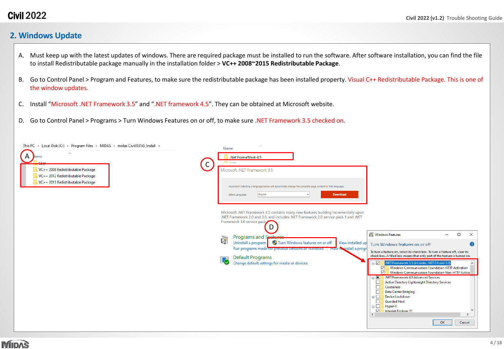### **2. Windows Update**

- A. Must keep up with the latest updates of windows. There are required package must be installed to run the software. After software installation, you can find the file to install Redistributable package manually in the installation folder > **VC++ 2008~2015 Redistributable Package**.
- B. Go to Control Panel > Program and Features, to make sure the redistributable package has been installed property. Visual C++ Redistributable Package. This is one of the window updates.
- C. Install "Microsoft .NET Framework 3.5" and ".NET framework 4.5". They can be obtained at Microsoft website.
- D. Go to Control Panel > Programs > Turn Windows Features on or off, to make sure .NET Framework 3.5 checked on.

| This PC > Local Disk (C:) > Program Files > MIDAS > midas Civil(0314)_Install >                                            |              | $\sim$ $\sim$<br>Name                                                                                                                                                                                                                                                                                                                                                                                                                                                                                    |                         |
|----------------------------------------------------------------------------------------------------------------------------|--------------|----------------------------------------------------------------------------------------------------------------------------------------------------------------------------------------------------------------------------------------------------------------------------------------------------------------------------------------------------------------------------------------------------------------------------------------------------------------------------------------------------------|-------------------------|
| $\overline{\phantom{a}}$<br>$\mathsf{A}$<br>lame<br>VC++ 2008 Redistributable Package<br>VC++ 2012 Redistributable Package | $\mathsf{C}$ | Net FrameWork 4.5<br><b>El Ann</b><br>Microsoft .NET Framework 3.5                                                                                                                                                                                                                                                                                                                                                                                                                                       |                         |
| VC++ 2015 Redistributable Package                                                                                          |              | Important! Selecting a language below will dynamically change the complete page content to that language.<br>English<br>Download<br>Select Language:                                                                                                                                                                                                                                                                                                                                                     |                         |
|                                                                                                                            |              | Microsoft .NET Framework 3.5 contains many new features building incrementally upon<br>.NET Framework 2.0 and 3.0, and includes .NET Framework 2.0 service pack 1 and .NET<br>Framework 3.0 service pack<br>D<br>Windows Features<br>$\Box$<br>$-$<br>Programs and Features                                                                                                                                                                                                                              | $\times$                |
|                                                                                                                            |              | Ğ<br>Uninstall a program   Turn Windows features on or off   View installed up<br>Turn Windows features on or off<br>Run programs made for previous versions or windows Throw Keinstall a progr<br>To turn a feature on, select its check box. To turn a feature off, clear its<br>check box. A filled box means that only part of the feature is turned on.<br>Default Programs<br><b>І7</b><br>Change default settings for media or devices<br>$\Box$<br>INET Framework 3.5 (includes .NET 2.0 and 3.0 | ℯ                       |
|                                                                                                                            |              | Windows Communication Foundation HTTP Activation<br>☑<br>☑<br>Windows Communication Foundation Non-HTTP Actival<br><b>ED</b> .NET Framework 4.8 Advanced Services<br>Active Directory Lightweight Directory Services<br>$\Box$<br>$\Box$<br>Containers<br>Data Center Bridging<br>□<br>Device Lockdown<br>$\blacksquare$<br><b>Guarded Host</b><br>$\Box$<br>$\blacksquare$<br>Hyper-V<br>$\triangleright$<br>Internet Explorer 11<br>$\epsilon$<br>OK                                                   | $\rightarrow$<br>Cancel |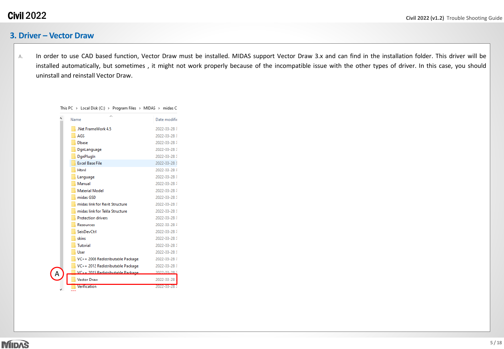#### **3. Driver – Vector Draw**

A. In order to use CAD based function, Vector Draw must be installed. MIDAS support Vector Draw 3.x and can find in the installation folder. This driver will be installed automatically, but sometimes , it might not work properly because of the incompatible issue with the other types of driver. In this case, you should uninstall and reinstall Vector Draw.

| Name                      |                                   | Date modifie  |
|---------------------------|-----------------------------------|---------------|
|                           | Net FrameWork 4.5                 | 2022-03-28    |
| AGS                       |                                   | 2022-03-28 \$ |
| <b>D</b> base             |                                   | 2022-03-28    |
| DgnLanguage               |                                   | 2022-03-28    |
| DgnPlugIn                 |                                   | 2022-03-28 \$ |
| <b>Excel Base File</b>    |                                   | 2022-03-28 \$ |
| <b>Html</b>               |                                   | 2022-03-28    |
| Language                  |                                   | 2022-03-28    |
| Manual                    |                                   | 2022-03-28 \$ |
| <b>Material Model</b>     |                                   | 2022-03-28    |
| midas GSD                 |                                   | 2022-03-28    |
|                           | midas link for Revit Structure    | 2022-03-28    |
|                           | midas link for Tekla Structure    | 2022-03-28    |
| <b>Protection drivers</b> |                                   | 2022-03-28    |
| <b>Resources</b>          |                                   | 2022-03-28    |
| <b>SeisDevCtrl</b>        |                                   | 2022-03-28 \$ |
| skins                     |                                   | 2022-03-28 \$ |
| <b>Tutorial</b>           |                                   | 2022-03-28    |
| User                      |                                   | 2022-03-28    |
|                           | VC++ 2008 Redistributable Package | 2022-03-28    |
|                           | VC++ 2012 Redistributable Package | 2022-03-28    |
| Д                         | VC++ 2015 Redistributable Package | 2022-03-28    |
| <b>Vector Draw</b>        |                                   | 2022-03-28    |
| Verification              |                                   | 2022-03-28    |

This PC > Local Disk (C:) > Program Files > MIDAS > midas C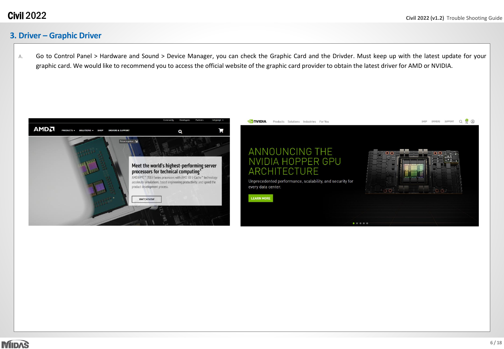## **3. Driver – Graphic Driver**

A. Go to Control Panel > Hardware and Sound > Device Manager, you can check the Graphic Card and the Drivder. Must keep up with the latest update for your graphic card. We would like to recommend you to access the official website of the graphic card provider to obtain the latest driver for AMD or NVIDIA.





 $0.0101010$